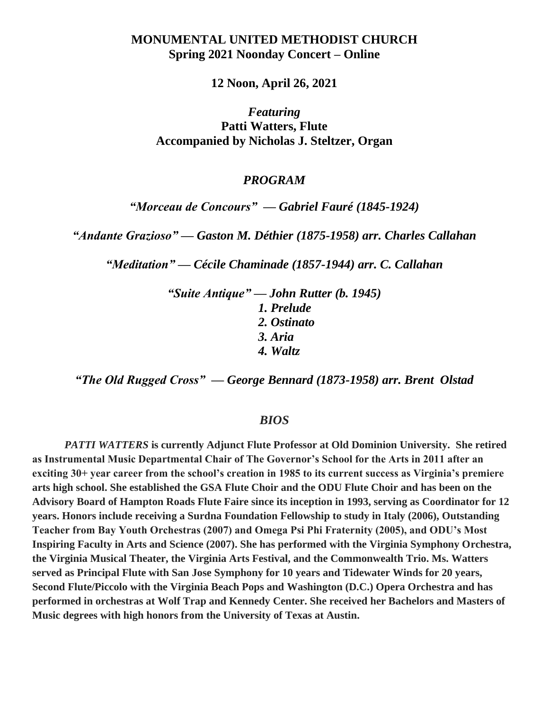## **MONUMENTAL UNITED METHODIST CHURCH Spring 2021 Noonday Concert – Online**

**12 Noon, April 26, 2021**

*Featuring*  **Patti Watters, Flute Accompanied by Nicholas J. Steltzer, Organ**

## *PROGRAM*

*"Morceau de Concours" — Gabriel Fauré (1845-1924)*

*"Andante Grazioso" — Gaston M. Déthier (1875-1958) arr. Charles Callahan*

*"Meditation" — Cécile Chaminade (1857-1944) arr. C. Callahan*

*"Suite Antique" — John Rutter (b. 1945) 1. Prelude 2. Ostinato 3. Aria 4. Waltz*

*"The Old Rugged Cross" — George Bennard (1873-1958) arr. Brent Olstad*

## *BIOS*

*PATTI WATTERS* **is currently Adjunct Flute Professor at Old Dominion University. She retired as Instrumental Music Departmental Chair of The Governor's School for the Arts in 2011 after an exciting 30+ year career from the school's creation in 1985 to its current success as Virginia's premiere arts high school. She established the GSA Flute Choir and the ODU Flute Choir and has been on the Advisory Board of Hampton Roads Flute Faire since its inception in 1993, serving as Coordinator for 12 years. Honors include receiving a Surdna Foundation Fellowship to study in Italy (2006), Outstanding Teacher from Bay Youth Orchestras (2007) and Omega Psi Phi Fraternity (2005), and ODU's Most Inspiring Faculty in Arts and Science (2007). She has performed with the Virginia Symphony Orchestra, the Virginia Musical Theater, the Virginia Arts Festival, and the Commonwealth Trio. Ms. Watters served as Principal Flute with San Jose Symphony for 10 years and Tidewater Winds for 20 years, Second Flute/Piccolo with the Virginia Beach Pops and Washington (D.C.) Opera Orchestra and has performed in orchestras at Wolf Trap and Kennedy Center. She received her Bachelors and Masters of Music degrees with high honors from the University of Texas at Austin.**